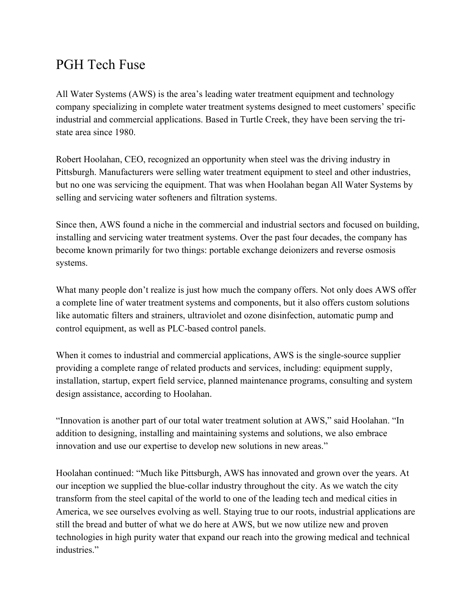## PGH Tech Fuse

All Water Systems (AWS) is the area's leading water treatment equipment and technology company specializing in complete water treatment systems designed to meet customers' specific industrial and commercial applications. Based in Turtle Creek, they have been serving the tristate area since 1980.

Robert Hoolahan, CEO, recognized an opportunity when steel was the driving industry in Pittsburgh. Manufacturers were selling water treatment equipment to steel and other industries, but no one was servicing the equipment. That was when Hoolahan began All Water Systems by selling and servicing water softeners and filtration systems.

Since then, AWS found a niche in the commercial and industrial sectors and focused on building, installing and servicing water treatment systems. Over the past four decades, the company has become known primarily for two things: portable exchange deionizers and reverse osmosis systems.

What many people don't realize is just how much the company offers. Not only does AWS offer a complete line of water treatment systems and components, but it also offers custom solutions like automatic filters and strainers, ultraviolet and ozone disinfection, automatic pump and control equipment, as well as PLC-based control panels.

When it comes to industrial and commercial applications, AWS is the single-source supplier providing a complete range of related products and services, including: equipment supply, installation, startup, expert field service, planned maintenance programs, consulting and system design assistance, according to Hoolahan.

"Innovation is another part of our total water treatment solution at AWS," said Hoolahan. "In addition to designing, installing and maintaining systems and solutions, we also embrace innovation and use our expertise to develop new solutions in new areas."

Hoolahan continued: "Much like Pittsburgh, AWS has innovated and grown over the years. At our inception we supplied the blue-collar industry throughout the city. As we watch the city transform from the steel capital of the world to one of the leading tech and medical cities in America, we see ourselves evolving as well. Staying true to our roots, industrial applications are still the bread and butter of what we do here at AWS, but we now utilize new and proven technologies in high purity water that expand our reach into the growing medical and technical industries."